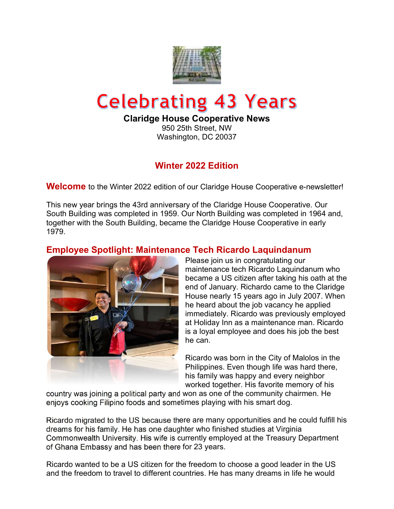

# **Celebrating 43 Years**

Claridge House Cooperative News

950 25th Street, NW Washington, DC 20037

# Winter 2022 Edition

**Welcome** to the Winter 2022 edition of our Claridge House Cooperative e-newsletter!

This new year brings the 43rd anniversary of the Claridge House Cooperative. Our South Building was completed in 1959. Our North Building was completed in 1964 and, together with the South Building, became the Claridge House Cooperative in early 1979.

# Employee Spotlight: Maintenance Tech Ricardo Laquindanum



Please join us in congratulating our maintenance tech Ricardo Laquindanum who became a US citizen after taking his oath at the end of January. Richardo came to the Claridge House nearly 15 years ago in July 2007. When he heard about the job vacancy he applied immediately. Ricardo was previously employed at Holiday Inn as a maintenance man. Ricardo is a loyal employee and does his job the best he can.

Ricardo was born in the City of Malolos in the Philippines. Even though life was hard there, his family was happy and every neighbor worked together. His favorite memory of his

country was joining a political party and won as one of the community chairmen. He enjoys cooking Filipino foods and sometimes playing with his smart dog.

Ricardo migrated to the US because there are many opportunities and he could fulfill his dreams for his family. He has one daughter who finished studies at Virginia Commonwealth University. His wife is currently employed at the Treasury Department of Ghana Embassy and has been there for 23 years.

Ricardo wanted to be a US citizen for the freedom to choose a good leader in the US and the freedom to travel to different countries. He has many dreams in life he would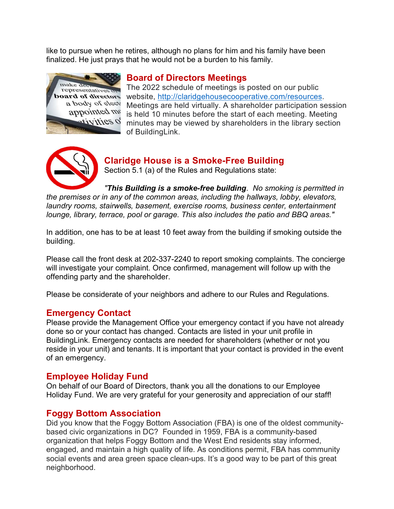like to pursue when he retires, although no plans for him and his family have been finalized. He just prays that he would not be a burden to his family.



# Board of Directors Meetings

The 2022 schedule of meetings is posted on our public website, http://claridgehousecooperative.com/resources. Meetings are held virtually. A shareholder participation session is held 10 minutes before the start of each meeting. Meeting minutes may be viewed by shareholders in the library section of BuildingLink.



#### Claridge House is a Smoke-Free Building Section 5.1 (a) of the Rules and Regulations state:

"This Building is a smoke-free building. No smoking is permitted in the premises or in any of the common areas, including the hallways, lobby, elevators, laundry rooms, stairwells, basement, exercise rooms, business center, entertainment lounge, library, terrace, pool or garage. This also includes the patio and BBQ areas."

In addition, one has to be at least 10 feet away from the building if smoking outside the building.

Please call the front desk at 202-337-2240 to report smoking complaints. The concierge will investigate your complaint. Once confirmed, management will follow up with the offending party and the shareholder.

Please be considerate of your neighbors and adhere to our Rules and Regulations.

#### Emergency Contact

Please provide the Management Office your emergency contact if you have not already done so or your contact has changed. Contacts are listed in your unit profile in BuildingLink. Emergency contacts are needed for shareholders (whether or not you reside in your unit) and tenants. It is important that your contact is provided in the event of an emergency.

## Employee Holiday Fund

On behalf of our Board of Directors, thank you all the donations to our Employee Holiday Fund. We are very grateful for your generosity and appreciation of our staff!

## Foggy Bottom Association

Did you know that the Foggy Bottom Association (FBA) is one of the oldest communitybased civic organizations in DC? Founded in 1959, FBA is a community-based organization that helps Foggy Bottom and the West End residents stay informed, engaged, and maintain a high quality of life. As conditions permit, FBA has community social events and area green space clean-ups. It's a good way to be part of this great neighborhood.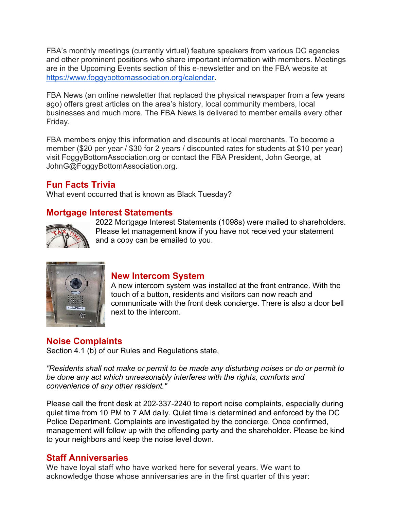FBA's monthly meetings (currently virtual) feature speakers from various DC agencies and other prominent positions who share important information with members. Meetings are in the Upcoming Events section of this e-newsletter and on the FBA website at https://www.foggybottomassociation.org/calendar.

FBA News (an online newsletter that replaced the physical newspaper from a few years ago) offers great articles on the area's history, local community members, local businesses and much more. The FBA News is delivered to member emails every other Friday.

FBA members enjoy this information and discounts at local merchants. To become a member (\$20 per year / \$30 for 2 years / discounted rates for students at \$10 per year) visit FoggyBottomAssociation.org or contact the FBA President, John George, at JohnG@FoggyBottomAssociation.org.

# Fun Facts Trivia

What event occurred that is known as Black Tuesday?

## Mortgage Interest Statements



2022 Mortgage Interest Statements (1098s) were mailed to shareholders. Please let management know if you have not received your statement and a copy can be emailed to you.



#### New Intercom System

A new intercom system was installed at the front entrance. With the touch of a button, residents and visitors can now reach and communicate with the front desk concierge. There is also a door bell next to the intercom.

## Noise Complaints

Section 4.1 (b) of our Rules and Regulations state,

"Residents shall not make or permit to be made any disturbing noises or do or permit to be done any act which unreasonably interferes with the rights, comforts and convenience of any other resident."

Please call the front desk at 202-337-2240 to report noise complaints, especially during quiet time from 10 PM to 7 AM daily. Quiet time is determined and enforced by the DC Police Department. Complaints are investigated by the concierge. Once confirmed, management will follow up with the offending party and the shareholder. Please be kind to your neighbors and keep the noise level down.

#### Staff Anniversaries

We have loyal staff who have worked here for several years. We want to acknowledge those whose anniversaries are in the first quarter of this year: